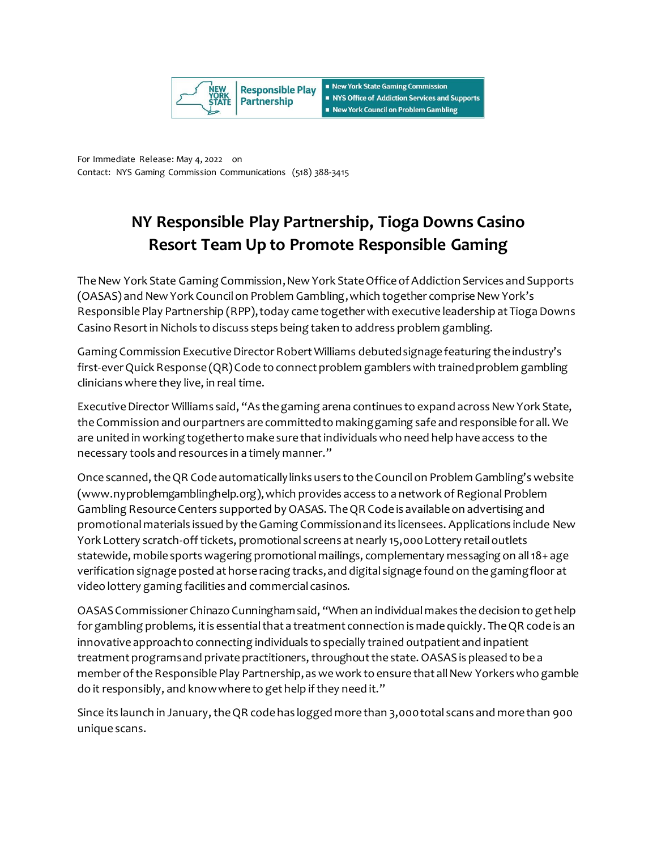

For Immediate Release: May 4, 2022 on Contact: NYS Gaming Commission Communications (518) 388-3415

## **NY Responsible Play Partnership, Tioga Downs Casino Resort Team Up to Promote Responsible Gaming**

The New York State Gaming Commission, New York State Office of Addiction Services and Supports (OASAS) and New York Council on Problem Gambling,which together comprise New York's Responsible Play Partnership (RPP), today came together with executive leadership at Tioga Downs Casino Resort in Nichols to discuss steps being taken to address problem gambling.

Gaming Commission Executive Director Robert Williams debutedsignage featuring the industry's first-everQuick Response (QR) Code to connect problem gamblers with trained problem gambling clinicians where they live, in real time.

Executive Director Williams said, "As the gaming arena continues to expand across New York State, the Commission and our partners are committed to making gaming safe and responsible for all. We are united in working together to make sure that individuals who need help have access to the necessary tools and resources in a timely manner."

Once scanned, the QR Code automatically links users to the Council on Problem Gambling's website (www.nyproblemgamblinghelp.org), which provides access to a network of Regional Problem Gambling Resource Centers supported by OASAS. The QR Code is available on advertising and promotional materials issued by the Gaming Commission and its licensees. Applications include New York Lottery scratch-off tickets, promotional screens at nearly 15,000 Lottery retail outlets statewide, mobile sports wagering promotional mailings, complementary messaging on all 18+ age verification signage posted at horse racing tracks, and digital signage found on the gaming floor at video lottery gaming facilities and commercial casinos.

OASAS Commissioner Chinazo Cunningham said, "When an individual makes the decision to get help for gambling problems, it is essential that a treatment connection is made quickly. The QR code is an innovative approach to connecting individuals to specially trained outpatient and inpatient treatment programs and private practitioners, throughout the state. OASAS is pleased to be a member of the Responsible Play Partnership, as we work to ensure that all New Yorkers who gamble do it responsibly, and know where to get help if they need it."

Since its launch in January, the QR code has logged more than 3,000total scans and more than 900 unique scans.